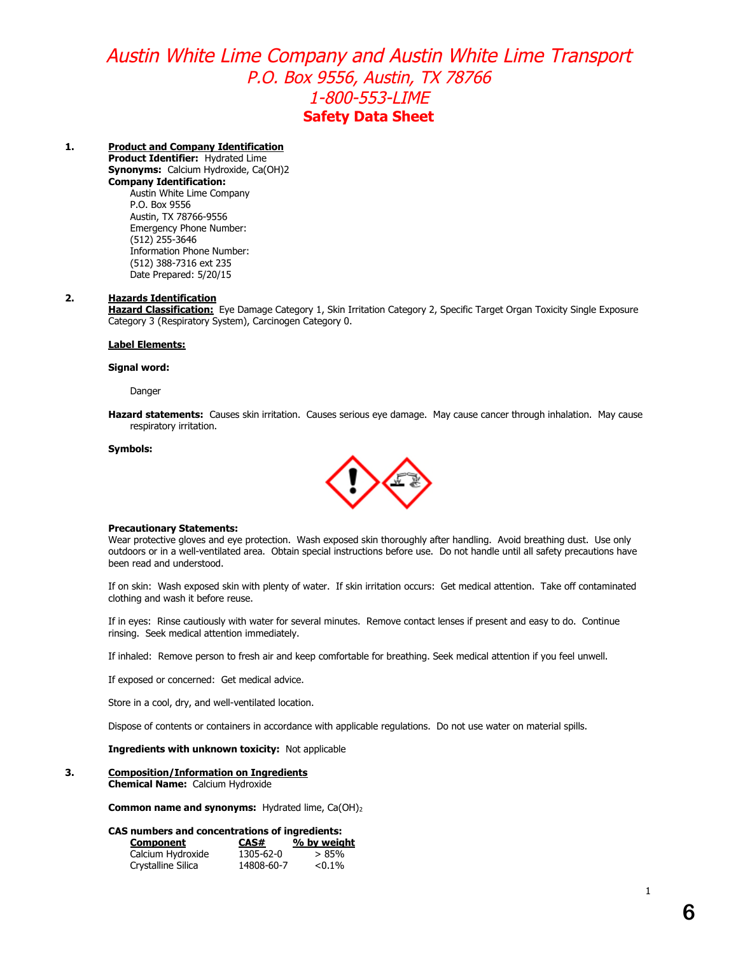## **1. Product and Company Identification**

**Product Identifier:** Hydrated Lime **Synonyms:** Calcium Hydroxide, Ca(OH)2 **Company Identification:** Austin White Lime Company P.O. Box 9556 Austin, TX 78766-9556 Emergency Phone Number: (512) 255-3646 Information Phone Number: (512) 388-7316 ext 235

Date Prepared: 5/20/15

## **2. Hazards Identification**

**Hazard Classification:** Eye Damage Category 1, Skin Irritation Category 2, Specific Target Organ Toxicity Single Exposure Category 3 (Respiratory System), Carcinogen Category 0.

## **Label Elements:**

### **Signal word:**

Danger

**Hazard statements:** Causes skin irritation. Causes serious eye damage. May cause cancer through inhalation. May cause respiratory irritation.

## **Symbols:**



## **Precautionary Statements:**

Wear protective gloves and eye protection. Wash exposed skin thoroughly after handling. Avoid breathing dust. Use only outdoors or in a well-ventilated area. Obtain special instructions before use. Do not handle until all safety precautions have been read and understood.

If on skin: Wash exposed skin with plenty of water. If skin irritation occurs: Get medical attention. Take off contaminated clothing and wash it before reuse.

If in eyes: Rinse cautiously with water for several minutes. Remove contact lenses if present and easy to do. Continue rinsing. Seek medical attention immediately.

If inhaled: Remove person to fresh air and keep comfortable for breathing. Seek medical attention if you feel unwell.

If exposed or concerned: Get medical advice.

Store in a cool, dry, and well-ventilated location.

Dispose of contents or containers in accordance with applicable regulations. Do not use water on material spills.

## **Ingredients with unknown toxicity:** Not applicable

#### **3. Composition/Information on Ingredients Chemical Name:** Calcium Hydroxide

**Common name and synonyms:** Hydrated lime, Ca(OH)<sup>2</sup>

## **CAS numbers and concentrations of ingredients:**

| Component          | CAS#       | % by weight |
|--------------------|------------|-------------|
| Calcium Hydroxide  | 1305-62-0  | > 85%       |
| Crystalline Silica | 14808-60-7 | $< 0.1\%$   |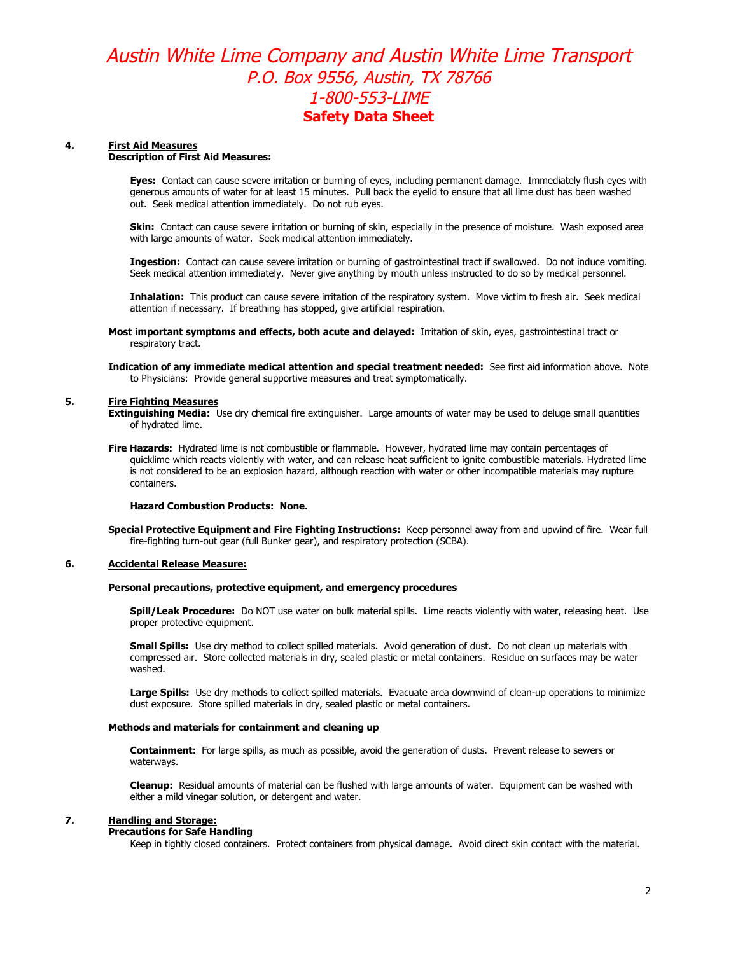## **4. First Aid Measures**

## **Description of First Aid Measures:**

**Eyes:** Contact can cause severe irritation or burning of eyes, including permanent damage. Immediately flush eyes with generous amounts of water for at least 15 minutes. Pull back the eyelid to ensure that all lime dust has been washed out. Seek medical attention immediately. Do not rub eyes.

**Skin:** Contact can cause severe irritation or burning of skin, especially in the presence of moisture. Wash exposed area with large amounts of water. Seek medical attention immediately.

**Ingestion:** Contact can cause severe irritation or burning of gastrointestinal tract if swallowed. Do not induce vomiting. Seek medical attention immediately. Never give anything by mouth unless instructed to do so by medical personnel.

**Inhalation:** This product can cause severe irritation of the respiratory system. Move victim to fresh air. Seek medical attention if necessary. If breathing has stopped, give artificial respiration.

**Most important symptoms and effects, both acute and delayed:** Irritation of skin, eyes, gastrointestinal tract or respiratory tract.

**Indication of any immediate medical attention and special treatment needed:** See first aid information above. Note to Physicians: Provide general supportive measures and treat symptomatically.

### **5. Fire Fighting Measures**

**Extinguishing Media:** Use dry chemical fire extinguisher. Large amounts of water may be used to deluge small quantities of hydrated lime.

**Fire Hazards:** Hydrated lime is not combustible or flammable. However, hydrated lime may contain percentages of quicklime which reacts violently with water, and can release heat sufficient to ignite combustible materials. Hydrated lime is not considered to be an explosion hazard, although reaction with water or other incompatible materials may rupture containers.

### **Hazard Combustion Products: None.**

**Special Protective Equipment and Fire Fighting Instructions:** Keep personnel away from and upwind of fire. Wear full fire-fighting turn-out gear (full Bunker gear), and respiratory protection (SCBA).

### **6. Accidental Release Measure:**

### **Personal precautions, protective equipment, and emergency procedures**

**Spill/Leak Procedure:** Do NOT use water on bulk material spills. Lime reacts violently with water, releasing heat. Use proper protective equipment.

**Small Spills:** Use dry method to collect spilled materials. Avoid generation of dust. Do not clean up materials with compressed air. Store collected materials in dry, sealed plastic or metal containers. Residue on surfaces may be water washed.

Large Spills: Use dry methods to collect spilled materials. Evacuate area downwind of clean-up operations to minimize dust exposure. Store spilled materials in dry, sealed plastic or metal containers.

### **Methods and materials for containment and cleaning up**

**Containment:** For large spills, as much as possible, avoid the generation of dusts. Prevent release to sewers or waterways.

**Cleanup:** Residual amounts of material can be flushed with large amounts of water. Equipment can be washed with either a mild vinegar solution, or detergent and water.

## **7. Handling and Storage:**

### **Precautions for Safe Handling**

Keep in tightly closed containers. Protect containers from physical damage. Avoid direct skin contact with the material.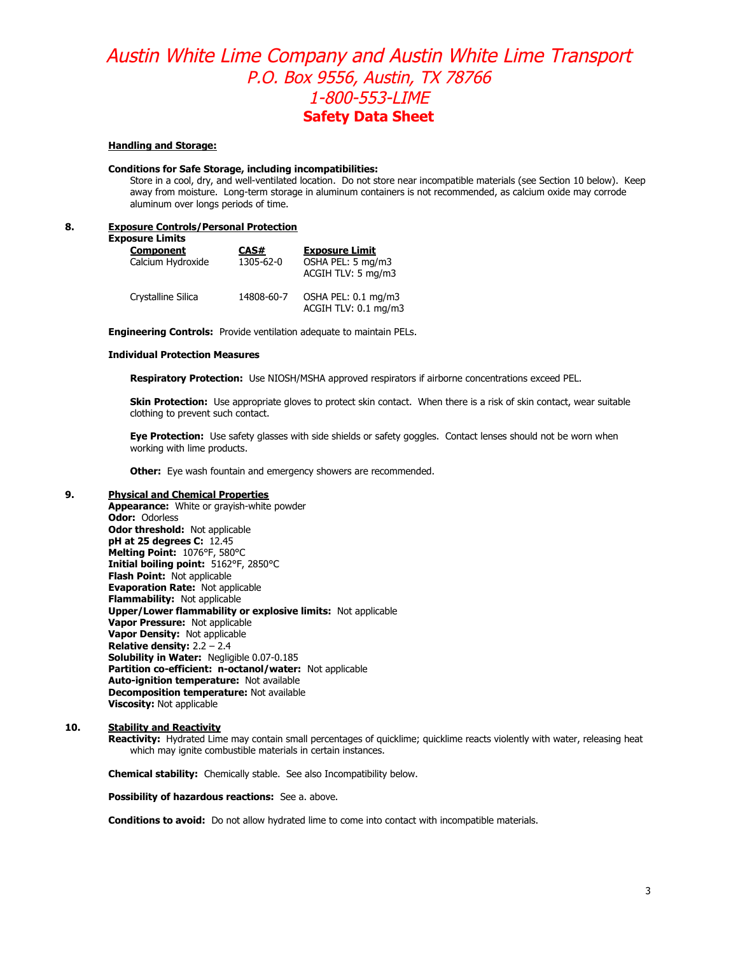### **Handling and Storage:**

### **Conditions for Safe Storage, including incompatibilities:**

Store in a cool, dry, and well-ventilated location. Do not store near incompatible materials (see Section 10 below). Keep away from moisture. Long-term storage in aluminum containers is not recommended, as calcium oxide may corrode aluminum over longs periods of time.

## **8. Exposure Controls/Personal Protection**

**Exposure Limits**

| JSUIT LIIIILS<br><b>Component</b><br>Calcium Hydroxide | CAS#<br>1305-62-0 | <b>Exposure Limit</b><br>OSHA PEL: 5 mg/m3<br>ACGIH TLV: 5 mg/m3 |
|--------------------------------------------------------|-------------------|------------------------------------------------------------------|
| Crystalline Silica                                     | 14808-60-7        | OSHA PEL: 0.1 mg/m3<br>ACGIH TLV: 0.1 mg/m3                      |

**Engineering Controls:** Provide ventilation adequate to maintain PELs.

### **Individual Protection Measures**

**Respiratory Protection:** Use NIOSH/MSHA approved respirators if airborne concentrations exceed PEL.

**Skin Protection:** Use appropriate gloves to protect skin contact. When there is a risk of skin contact, wear suitable clothing to prevent such contact.

**Eye Protection:** Use safety glasses with side shields or safety goggles. Contact lenses should not be worn when working with lime products.

**Other:** Eye wash fountain and emergency showers are recommended.

## **9. Physical and Chemical Properties**

**Appearance:** White or grayish-white powder **Odor:** Odorless **Odor threshold:** Not applicable **pH at 25 degrees C:** 12.45 **Melting Point:** 1076°F, 580°C **Initial boiling point:** 5162°F, 2850°C **Flash Point:** Not applicable **Evaporation Rate:** Not applicable **Flammability:** Not applicable **Upper/Lower flammability or explosive limits:** Not applicable **Vapor Pressure:** Not applicable **Vapor Density:** Not applicable **Relative density:** 2.2 – 2.4 **Solubility in Water:** Negligible 0.07-0.185 **Partition co-efficient: n-octanol/water:** Not applicable **Auto-ignition temperature:** Not available **Decomposition temperature:** Not available **Viscosity:** Not applicable

## **10. Stability and Reactivity**

**Reactivity:** Hydrated Lime may contain small percentages of quicklime; quicklime reacts violently with water, releasing heat which may ignite combustible materials in certain instances.

**Chemical stability:** Chemically stable. See also Incompatibility below.

**Possibility of hazardous reactions:** See a. above.

**Conditions to avoid:** Do not allow hydrated lime to come into contact with incompatible materials.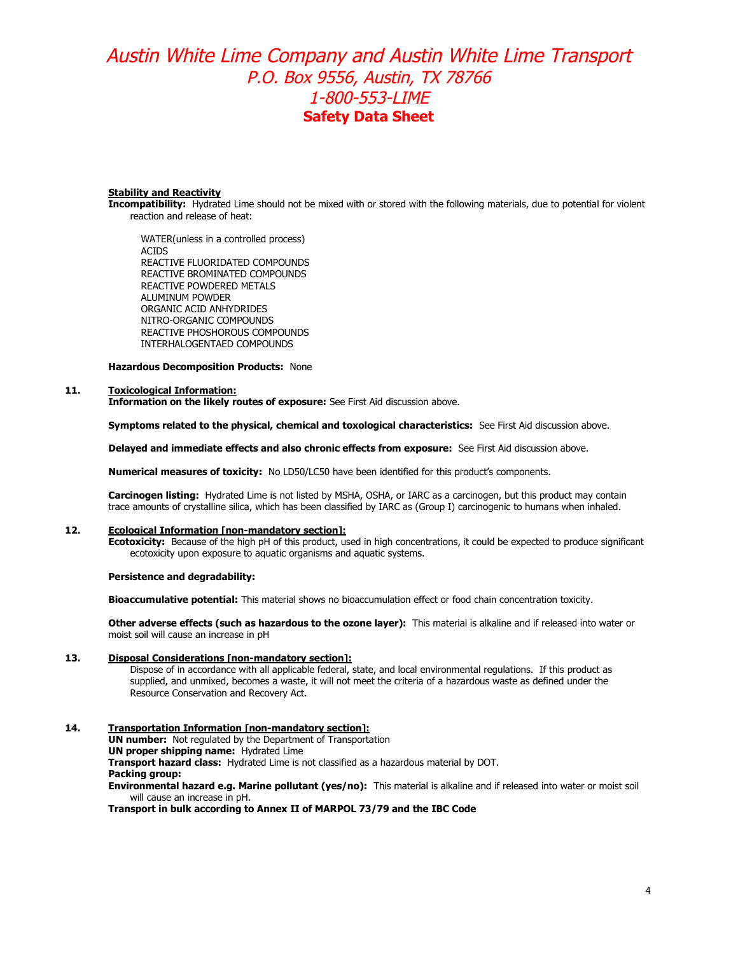### **Stability and Reactivity**

**Incompatibility:** Hydrated Lime should not be mixed with or stored with the following materials, due to potential for violent reaction and release of heat:

WATER(unless in a controlled process) ACIDS REACTIVE FLUORIDATED COMPOUNDS REACTIVE BROMINATED COMPOUNDS REACTIVE POWDERED METALS ALUMINUM POWDER ORGANIC ACID ANHYDRIDES NITRO-ORGANIC COMPOUNDS REACTIVE PHOSHOROUS COMPOUNDS INTERHALOGENTAED COMPOUNDS

**Hazardous Decomposition Products:** None

### **11. Toxicological Information:**

**Information on the likely routes of exposure:** See First Aid discussion above.

**Symptoms related to the physical, chemical and toxological characteristics:** See First Aid discussion above.

**Delayed and immediate effects and also chronic effects from exposure:** See First Aid discussion above.

**Numerical measures of toxicity:** No LD50/LC50 have been identified for this product's components.

**Carcinogen listing:** Hydrated Lime is not listed by MSHA, OSHA, or IARC as a carcinogen, but this product may contain trace amounts of crystalline silica, which has been classified by IARC as (Group I) carcinogenic to humans when inhaled.

### **12. Ecological Information [non-mandatory section]:**

**Ecotoxicity:** Because of the high pH of this product, used in high concentrations, it could be expected to produce significant ecotoxicity upon exposure to aquatic organisms and aquatic systems.

## **Persistence and degradability:**

**Bioaccumulative potential:** This material shows no bioaccumulation effect or food chain concentration toxicity.

**Other adverse effects (such as hazardous to the ozone layer):** This material is alkaline and if released into water or moist soil will cause an increase in pH

### **13. Disposal Considerations [non-mandatory section]:**

Dispose of in accordance with all applicable federal, state, and local environmental regulations. If this product as supplied, and unmixed, becomes a waste, it will not meet the criteria of a hazardous waste as defined under the Resource Conservation and Recovery Act.

## **14. Transportation Information [non-mandatory section]:**

**UN number:** Not regulated by the Department of Transportation **UN proper shipping name:** Hydrated Lime **Transport hazard class:** Hydrated Lime is not classified as a hazardous material by DOT. **Packing group: Environmental hazard e.g. Marine pollutant (yes/no):** This material is alkaline and if released into water or moist soil will cause an increase in pH.

### **Transport in bulk according to Annex II of MARPOL 73/79 and the IBC Code**